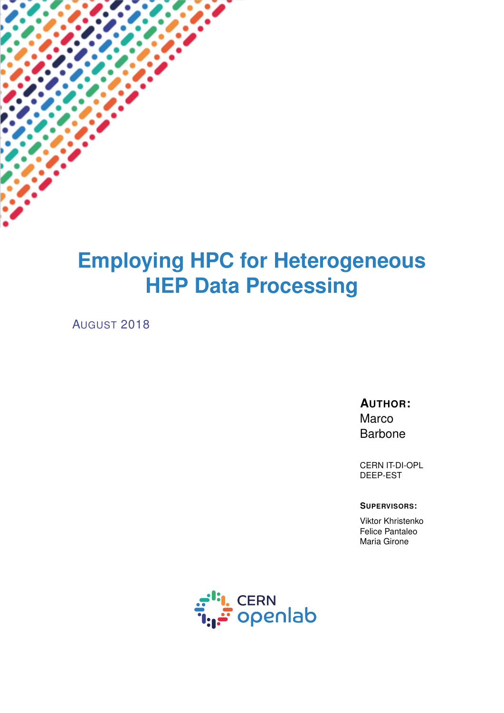# **Employing HPC for Heterogeneous HEP Data Processing**

AUGUST 2018

**AUTHOR:** Marco Barbone

CERN IT-DI-OPL DEEP-EST

#### **SUPERVISORS:**

Viktor Khristenko Felice Pantaleo Maria Girone

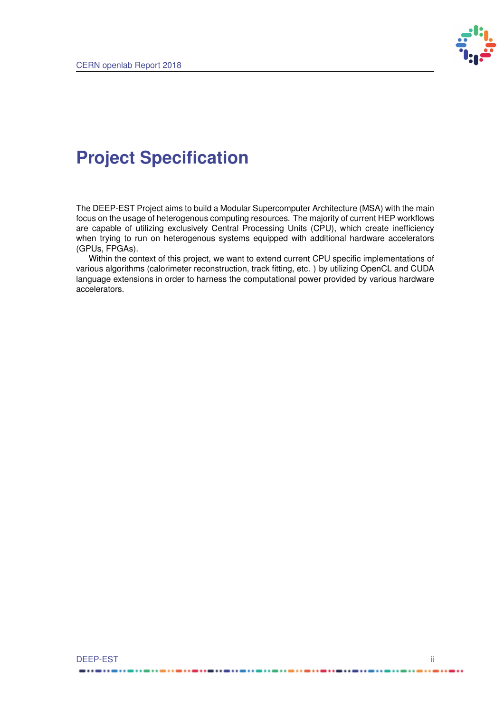

# **Project Specification**

The DEEP-EST Project aims to build a Modular Supercomputer Architecture (MSA) with the main focus on the usage of heterogenous computing resources. The majority of current HEP workflows are capable of utilizing exclusively Central Processing Units (CPU), which create inefficiency when trying to run on heterogenous systems equipped with additional hardware accelerators (GPUs, FPGAs).

Within the context of this project, we want to extend current CPU specific implementations of various algorithms (calorimeter reconstruction, track fitting, etc. ) by utilizing OpenCL and CUDA language extensions in order to harness the computational power provided by various hardware accelerators.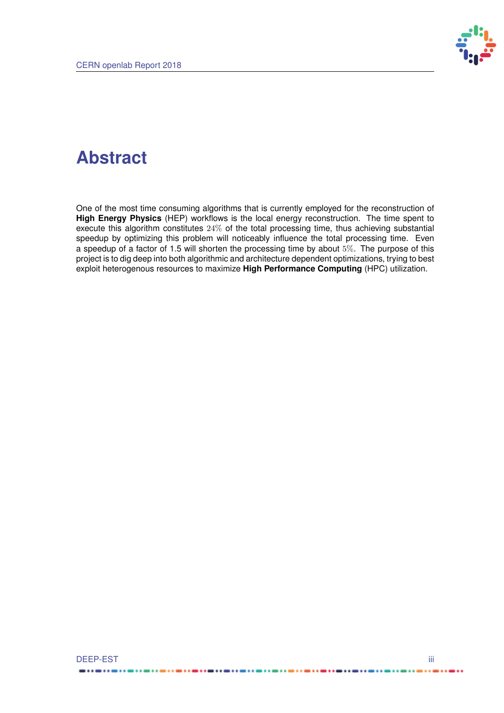

## **Abstract**

One of the most time consuming algorithms that is currently employed for the reconstruction of **High Energy Physics** (HEP) workflows is the local energy reconstruction. The time spent to execute this algorithm constitutes 24% of the total processing time, thus achieving substantial speedup by optimizing this problem will noticeably influence the total processing time. Even a speedup of a factor of 1.5 will shorten the processing time by about 5%. The purpose of this project is to dig deep into both algorithmic and architecture dependent optimizations, trying to best exploit heterogenous resources to maximize **High Performance Computing** (HPC) utilization.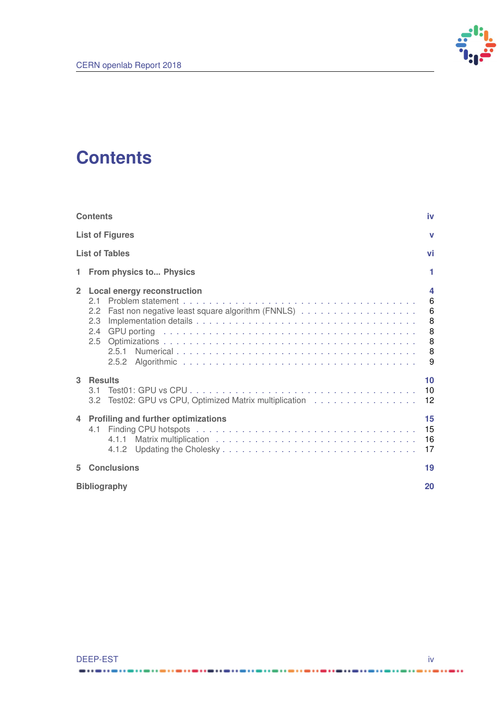

## <span id="page-3-0"></span>**Contents**

| <b>Contents</b>                                                                                   | iv                                   |
|---------------------------------------------------------------------------------------------------|--------------------------------------|
| <b>List of Figures</b>                                                                            | v                                    |
| <b>List of Tables</b>                                                                             | vi                                   |
| From physics to Physics<br>1                                                                      | 1                                    |
| $\overline{2}$<br><b>Local energy reconstruction</b><br>2.1<br>2.2<br>2.3<br>$2.4^{\circ}$<br>2.5 | 4<br>6<br>6<br>8<br>8<br>8<br>8<br>9 |
| 3<br><b>Results</b><br>31<br>Test02: GPU vs CPU, Optimized Matrix multiplication<br>3.2           | 10<br>10<br>12                       |
| <b>Profiling and further optimizations</b><br>4<br>4.1<br>4.1.1<br>4.1.2                          | 15<br>15<br>16<br>17                 |
| <b>Conclusions</b><br>5                                                                           | 19                                   |
| <b>Bibliography</b>                                                                               | 20                                   |

----------

......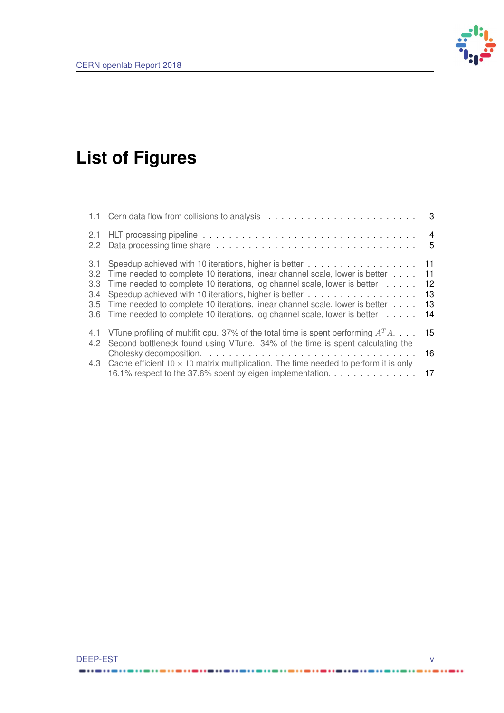

# <span id="page-4-0"></span>**List of Figures**

| 2.1<br>2.2                                |                                                                                                                                                                                                                                                                                                                                                                                        | $\overline{4}$<br>5        |
|-------------------------------------------|----------------------------------------------------------------------------------------------------------------------------------------------------------------------------------------------------------------------------------------------------------------------------------------------------------------------------------------------------------------------------------------|----------------------------|
| 3.1<br>$3.2^{\circ}$<br>3.3<br>3.4<br>3.5 | Speedup achieved with 10 iterations, higher is better 11<br>Time needed to complete 10 iterations, linear channel scale, lower is better<br>Time needed to complete 10 iterations, log channel scale, lower is better<br>Time needed to complete 10 iterations, linear channel scale, lower is better<br>3.6 Time needed to complete 10 iterations, log channel scale, lower is better | 11<br>12<br>13<br>13<br>14 |
| 4.1<br>4.2                                | VTune profiling of multifit_cpu. 37% of the total time is spent performing $A^T A$<br>Second bottleneck found using VTune. 34% of the time is spent calculating the<br>4.3 Cache efficient $10 \times 10$ matrix multiplication. The time needed to perform it is only<br>16.1% respect to the 37.6% spent by eigen implementation.                                                    | 15<br>16<br>17             |

---------

.....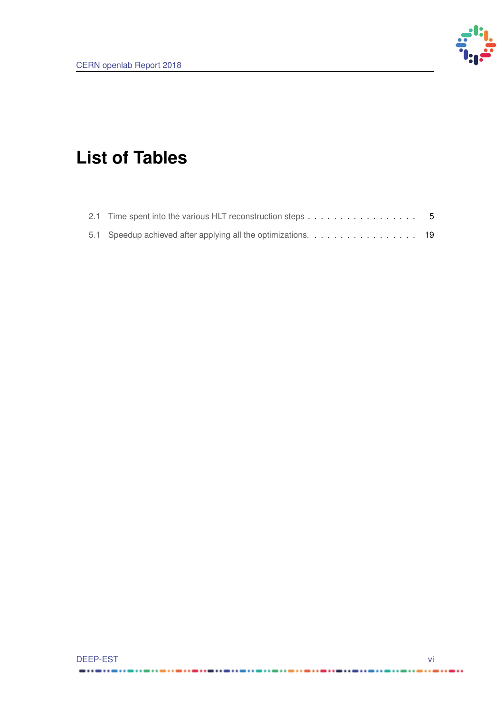

# <span id="page-5-0"></span>**List of Tables**

| 2.1 Time spent into the various HLT reconstruction steps 5 |  |  |  |  |  |  |  |  |
|------------------------------------------------------------|--|--|--|--|--|--|--|--|
|                                                            |  |  |  |  |  |  |  |  |

----------

....

......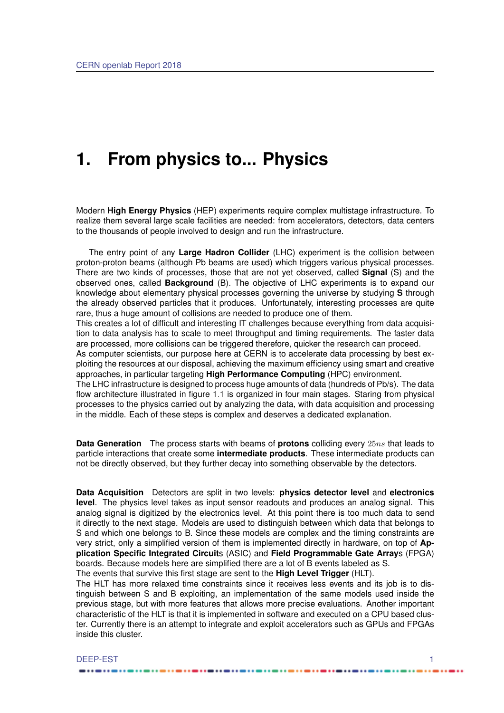## <span id="page-6-0"></span>**1. From physics to... Physics**

Modern **High Energy Physics** (HEP) experiments require complex multistage infrastructure. To realize them several large scale facilities are needed: from accelerators, detectors, data centers to the thousands of people involved to design and run the infrastructure.

The entry point of any **Large Hadron Collider** (LHC) experiment is the collision between proton-proton beams (although Pb beams are used) which triggers various physical processes. There are two kinds of processes, those that are not yet observed, called **Signal** (S) and the observed ones, called **Background** (B). The objective of LHC experiments is to expand our knowledge about elementary physical processes governing the universe by studying **S** through the already observed particles that it produces. Unfortunately, interesting processes are quite rare, thus a huge amount of collisions are needed to produce one of them.

This creates a lot of difficult and interesting IT challenges because everything from data acquisition to data analysis has to scale to meet throughput and timing requirements. The faster data are processed, more collisions can be triggered therefore, quicker the research can proceed.

As computer scientists, our purpose here at CERN is to accelerate data processing by best exploiting the resources at our disposal, achieving the maximum efficiency using smart and creative approaches, in particular targeting **High Performance Computing** (HPC) environment.

The LHC infrastructure is designed to process huge amounts of data (hundreds of Pb/s). The data flow architecture illustrated in figure [1.1](#page-8-0) is organized in four main stages. Staring from physical processes to the physics carried out by analyzing the data, with data acquisition and processing in the middle. Each of these steps is complex and deserves a dedicated explanation.

**Data Generation** The process starts with beams of **protons** colliding every 25ns that leads to particle interactions that create some **intermediate products**. These intermediate products can not be directly observed, but they further decay into something observable by the detectors.

**Data Acquisition** Detectors are split in two levels: **physics detector level** and **electronics level**. The physics level takes as input sensor readouts and produces an analog signal. This analog signal is digitized by the electronics level. At this point there is too much data to send it directly to the next stage. Models are used to distinguish between which data that belongs to S and which one belongs to B. Since these models are complex and the timing constraints are very strict, only a simplified version of them is implemented directly in hardware, on top of **Application Specific Integrated Circuit**s (ASIC) and **Field Programmable Gate Array**s (FPGA) boards. Because models here are simplified there are a lot of B events labeled as S. The events that survive this first stage are sent to the **High Level Trigger** (HLT).

The HLT has more relaxed time constraints since it receives less events and its job is to distinguish between S and B exploiting, an implementation of the same models used inside the previous stage, but with more features that allows more precise evaluations. Another important characteristic of the HLT is that it is implemented in software and executed on a CPU based cluster. Currently there is an attempt to integrate and exploit accelerators such as GPUs and FPGAs inside this cluster.

#### DEEP-EST 12 and 200 million and 200 million and 200 million and 200 million and 200 million and 200 million and 200 million and 200 million and 200 million and 200 million and 200 million and 200 million and 200 million an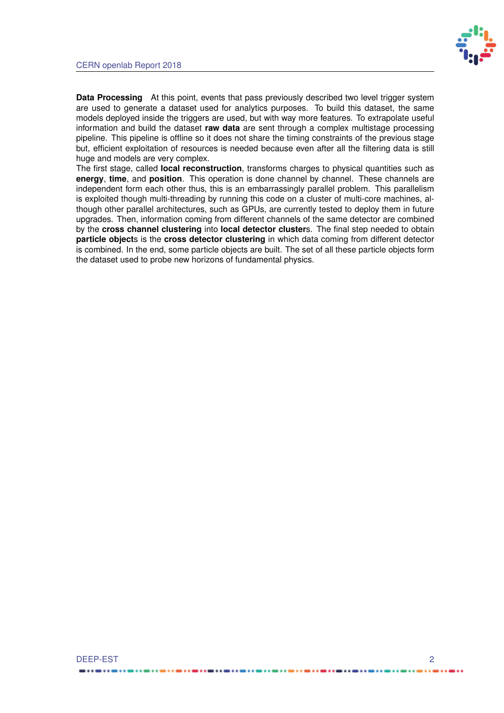

**Data Processing** At this point, events that pass previously described two level trigger system are used to generate a dataset used for analytics purposes. To build this dataset, the same models deployed inside the triggers are used, but with way more features. To extrapolate useful information and build the dataset **raw data** are sent through a complex multistage processing pipeline. This pipeline is offline so it does not share the timing constraints of the previous stage but, efficient exploitation of resources is needed because even after all the filtering data is still huge and models are very complex.

The first stage, called **local reconstruction**, transforms charges to physical quantities such as **energy**, **time**, and **position**. This operation is done channel by channel. These channels are independent form each other thus, this is an embarrassingly parallel problem. This parallelism is exploited though multi-threading by running this code on a cluster of multi-core machines, although other parallel architectures, such as GPUs, are currently tested to deploy them in future upgrades. Then, information coming from different channels of the same detector are combined by the **cross channel clustering** into **local detector cluster**s. The final step needed to obtain **particle object**s is the **cross detector clustering** in which data coming from different detector is combined. In the end, some particle objects are built. The set of all these particle objects form the dataset used to probe new horizons of fundamental physics.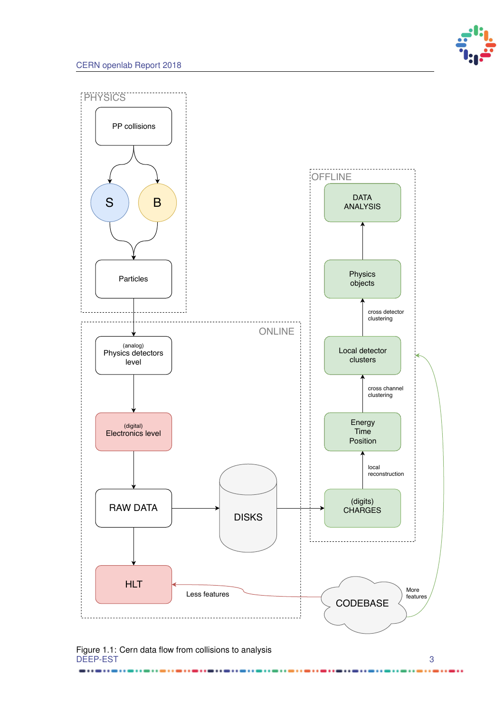

<span id="page-8-0"></span>

Figure 1.1: Cern data flow from collisions to analysis DEEP-EST 3

..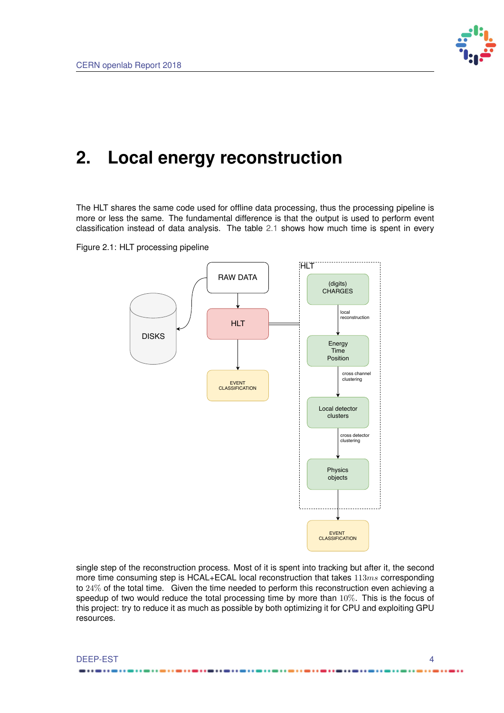

## <span id="page-9-0"></span>**2. Local energy reconstruction**

The HLT shares the same code used for offline data processing, thus the processing pipeline is more or less the same. The fundamental difference is that the output is used to perform event classification instead of data analysis. The table [2.1](#page-10-1) shows how much time is spent in every



<span id="page-9-1"></span>

single step of the reconstruction process. Most of it is spent into tracking but after it, the second more time consuming step is HCAL+ECAL local reconstruction that takes  $113ms$  corresponding to 24% of the total time. Given the time needed to perform this reconstruction even achieving a speedup of two would reduce the total processing time by more than  $10\%$ . This is the focus of this project: try to reduce it as much as possible by both optimizing it for CPU and exploiting GPU resources.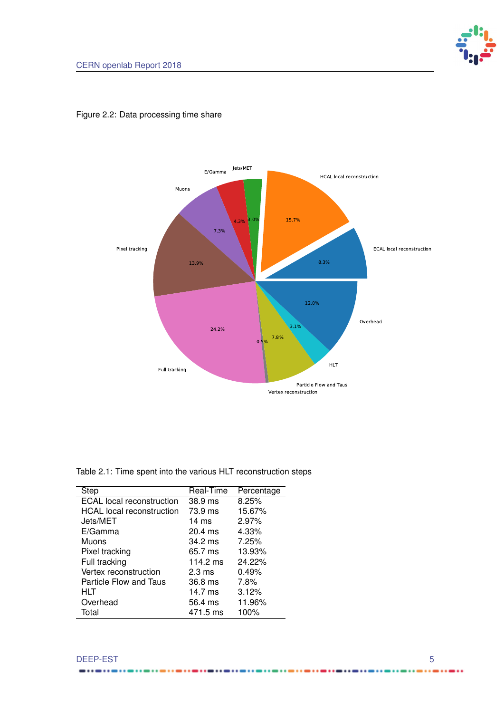

### <span id="page-10-0"></span>Figure 2.2: Data processing time share

<span id="page-10-1"></span>

| <b>Step</b>                      | Real-Time         | Percentage |
|----------------------------------|-------------------|------------|
| <b>ECAL</b> local reconstruction | 38.9 ms           | 8.25%      |
| <b>HCAL</b> local reconstruction | 73.9 ms           | 15.67%     |
| Jets/MET                         | $14 \text{ ms}$   | 2.97%      |
| E/Gamma                          | $20.4$ ms         | 4.33%      |
| Muons                            | $34.2 \text{ ms}$ | 7.25%      |
| Pixel tracking                   | 65.7 ms           | 13.93%     |
| Full tracking                    | 114.2 ms          | 24.22%     |
| Vertex reconstruction            | $2.3 \text{ ms}$  | 0.49%      |
| Particle Flow and Taus           | 36.8 ms           | 7.8%       |
| HLT                              | $14.7 \text{ ms}$ | 3.12%      |
| Overhead                         | 56.4 ms           | 11.96%     |
| Total                            | 471.5 ms          | 100%       |

...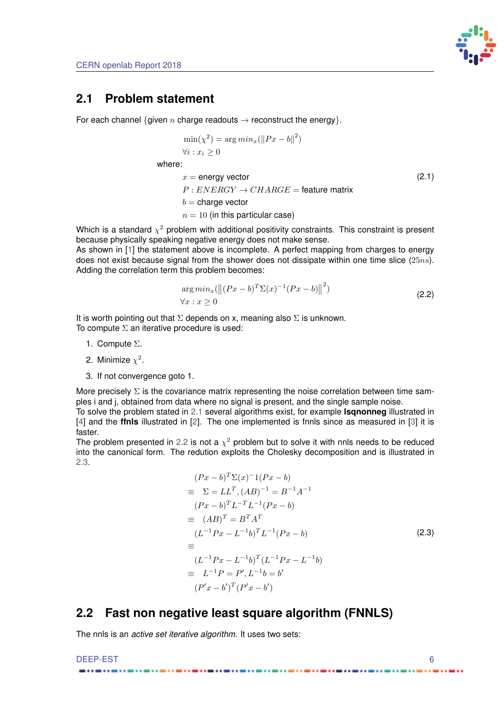

### <span id="page-11-5"></span><span id="page-11-0"></span>**2.1 Problem statement**

For each channel {given n charge readouts  $\rightarrow$  reconstruct the energy}.

$$
\min(\chi^2) = \arg min_x(||Px - b||^2)
$$
  

$$
\forall i : x_i \ge 0
$$

where:

$$
x = energy vector
$$
  
P :  $ENERGY \rightarrow CHARGE = feature matrix$   
b = charge vector  
 $n = 10$  (in this particular case) (2.1)

<span id="page-11-2"></span>Which is a standard  $\chi^2$  problem with additional positivity constraints. This constraint is present because physically speaking negative energy does not make sense.

As shown in [\[1\]](#page-25-1) the statement above is incomplete. A perfect mapping from charges to energy does not exist because signal from the shower does not dissipate within one time slice  $(25ns)$ . Adding the correlation term this problem becomes:

$$
\arg min_{x}(\left\| (Px - b)^{T} \Sigma(x)^{-1} (Px - b) \right\|^{2})
$$
  

$$
\forall x : x \ge 0
$$
\n(2.2)

<span id="page-11-3"></span>It is worth pointing out that  $\Sigma$  depends on x, meaning also  $\Sigma$  is unknown. To compute  $\Sigma$  an iterative procedure is used:

- 1. Compute Σ.
- 2. Minimize  $\chi^2$ .
- 3. If not convergence goto 1.

More precisely  $\Sigma$  is the covariance matrix representing the noise correlation between time samples i and j, obtained from data where no signal is present, and the single sample noise.

To solve the problem stated in [2.1](#page-11-2) several algorithms exist, for example **lsqnonneg** illustrated in [\[4\]](#page-25-2) and the **ffnls** illustrated in [\[2\]](#page-25-3). The one implemented is fnnls since as measured in [\[3\]](#page-25-4) it is faster.

The problem presented in [2.2](#page-11-3) is not a  $\chi^2$  problem but to solve it with nnls needs to be reduced into the canonical form. The redution exploits the Cholesky decomposition and is illustrated in [2.3.](#page-11-4)

$$
(Px - b)^{T} \Sigma(x)^{-1} (Px - b)
$$
  
\n
$$
\equiv \Sigma = LL^{T}, (AB)^{-1} = B^{-1}A^{-1}
$$
  
\n
$$
(Px - b)^{T}L^{-T}L^{-1}(Px - b)
$$
  
\n
$$
\equiv (AB)^{T} = B^{T}A^{T}
$$
  
\n
$$
(L^{-1}Px - L^{-1}b)^{T}L^{-1}(Px - b)
$$
  
\n
$$
\equiv (L^{-1}Px - L^{-1}b)^{T}(L^{-1}Px - L^{-1}b)
$$
  
\n
$$
\equiv L^{-1}P = P', L^{-1}b = b'
$$
  
\n
$$
(P'x - b')^{T}(P'x - b')
$$

## <span id="page-11-4"></span><span id="page-11-1"></span>**2.2 Fast non negative least square algorithm (FNNLS)**

The nnls is an *active set iterative algorithm*. It uses two sets: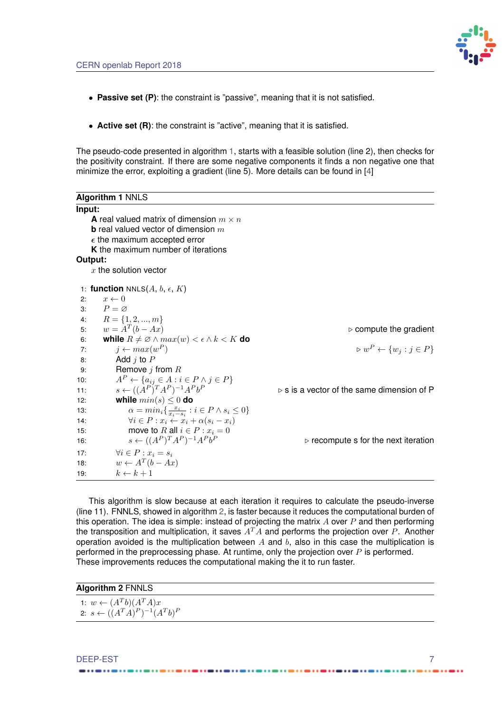

- <span id="page-12-3"></span>• **Passive set (P)**: the constraint is "passive", meaning that it is not satisfied.
- **Active set (R)**: the constraint is "active", meaning that it is satisfied.

The pseudo-code presented in algorithm [1,](#page-12-1) starts with a feasible solution (line 2), then checks for the positivity constraint. If there are some negative components it finds a non negative one that minimize the error, exploiting a gradient (line 5). More details can be found in [\[4\]](#page-25-2)

<span id="page-12-1"></span>

| Algorithm 1 NNLS                                                                |                                                           |
|---------------------------------------------------------------------------------|-----------------------------------------------------------|
| Input:                                                                          |                                                           |
| <b>A</b> real valued matrix of dimension $m \times n$                           |                                                           |
| <b>b</b> real valued vector of dimension $m$                                    |                                                           |
| $\epsilon$ the maximum accepted error                                           |                                                           |
| K the maximum number of iterations                                              |                                                           |
| Output:                                                                         |                                                           |
| $x$ the solution vector                                                         |                                                           |
| 1: function NNLS $(A, b, \epsilon, K)$                                          |                                                           |
| $x \leftarrow 0$<br>2:                                                          |                                                           |
| $P = \varnothing$<br>3:                                                         |                                                           |
| $R = \{1, 2, , m\}$<br>4:                                                       |                                                           |
| $w = A^T(b - Ax)$<br>5:                                                         | $\triangleright$ compute the gradient                     |
| while $R \neq \emptyset \wedge max(w) < \epsilon \wedge k < K$ do<br>6:         |                                                           |
| $j \leftarrow max(w^P)$<br>7:                                                   | $\triangleright w^P \leftarrow \{w_j : j \in P\}$         |
| Add $j$ to $P$<br>8:                                                            |                                                           |
| Remove $j$ from $R$<br>9:                                                       |                                                           |
| $A^P \leftarrow \{a_{ij} \in A : i \in P \land j \in P\}$<br>10:                |                                                           |
| $s \leftarrow ((A^P)^T A^P)^{-1} A^P b^P$<br>11:                                | $\triangleright$ s is a vector of the same dimension of P |
| while $min(s) \leq 0$ do<br>12:                                                 |                                                           |
| $\alpha = min_i \{ \frac{x_i}{x_i - s_i} : i \in P \wedge s_i \leq 0 \}$<br>13: |                                                           |
| $\forall i \in P : x_i \leftarrow x_i + \alpha(s_i - x_i)$<br>14:               |                                                           |
| move to R all $i \in P : x_i = 0$<br>15:                                        |                                                           |
| $s \leftarrow ((A^P)^T A^P)^{-1} A^P b^P$<br>16:                                | $\triangleright$ recompute s for the next iteration       |
| $\forall i \in P : x_i = s_i$<br>17:                                            |                                                           |
| $w \leftarrow A^T(b - Ax)$<br>18:                                               |                                                           |
| $k \leftarrow k+1$<br>19:                                                       |                                                           |

This algorithm is slow because at each iteration it requires to calculate the pseudo-inverse (line 11). FNNLS, showed in algorithm [2,](#page-12-2) is faster because it reduces the computational burden of this operation. The idea is simple: instead of projecting the matrix  $A$  over  $P$  and then performing the transposition and multiplication, it saves  $A<sup>T</sup>A$  and performs the projection over P. Another operation avoided is the multiplication between  $A$  and  $b$ , also in this case the multiplication is performed in the preprocessing phase. At runtime, only the projection over  $P$  is performed. These improvements reduces the computational making the it to run faster.

<span id="page-12-2"></span><span id="page-12-0"></span>

| <b>Algorithm 2 FNNLS</b>                     |  |
|----------------------------------------------|--|
| 1: $w \leftarrow (A^Tb)(A^TA)x$              |  |
| 2: $s \leftarrow ((A^T A)^P)^{-1} (A^T b)^P$ |  |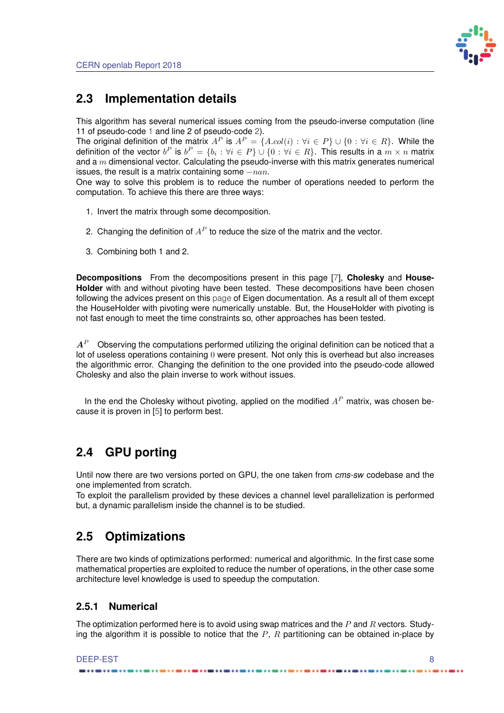

## <span id="page-13-3"></span>**2.3 Implementation details**

This algorithm has several numerical issues coming from the pseudo-inverse computation (line 11 of pseudo-code [1](#page-12-1) and line 2 of pseudo-code [2\)](#page-12-2).

The original definition of the matrix  $A^P$  is  $A^P = \{A \cdot col(i) : \forall i \in P\} \cup \{0 : \forall i \in R\}$ . While the definition of the vector  $b^P$  is  $b^P = \{b_i: \forall i \in P\} \cup \{0: \forall i \in R\}.$  This results in a  $m \times n$  matrix and a  $m$  dimensional vector. Calculating the pseudo-inverse with this matrix generates numerical issues, the result is a matrix containing some  $-nan$ .

One way to solve this problem is to reduce the number of operations needed to perform the computation. To achieve this there are three ways:

- 1. Invert the matrix through some decomposition.
- 2. Changing the definition of  $A<sup>P</sup>$  to reduce the size of the matrix and the vector.
- 3. Combining both 1 and 2.

**Decompositions** From the decompositions present in this page [\[7\]](#page-25-5), **Cholesky** and **House-Holder** with and without pivoting have been tested. These decompositions have been chosen following the advices present on this [page](https://eigen.tuxfamily.org/dox/group__LeastSquares.html) of Eigen documentation. As a result all of them except the HouseHolder with pivoting were numerically unstable. But, the HouseHolder with pivoting is not fast enough to meet the time constraints so, other approaches has been tested.

 $A^P$  Observing the computations performed utilizing the original definition can be noticed that a lot of useless operations containing 0 were present. Not only this is overhead but also increases the algorithmic error. Changing the definition to the one provided into the pseudo-code allowed Cholesky and also the plain inverse to work without issues.

In the end the Cholesky without pivoting, applied on the modified  $A<sup>P</sup>$  matrix, was chosen because it is proven in [\[5\]](#page-25-6) to perform best.

## <span id="page-13-0"></span>**2.4 GPU porting**

Until now there are two versions ported on GPU, the one taken from *cms-sw* codebase and the one implemented from scratch.

<span id="page-13-1"></span>To exploit the parallelism provided by these devices a channel level parallelization is performed but, a dynamic parallelism inside the channel is to be studied.

## **2.5 Optimizations**

There are two kinds of optimizations performed: numerical and algorithmic. In the first case some mathematical properties are exploited to reduce the number of operations, in the other case some architecture level knowledge is used to speedup the computation.

### <span id="page-13-2"></span>**2.5.1 Numerical**

The optimization performed here is to avoid using swap matrices and the  $P$  and  $R$  vectors. Studying the algorithm it is possible to notice that the  $P$ ,  $R$  partitioning can be obtained in-place by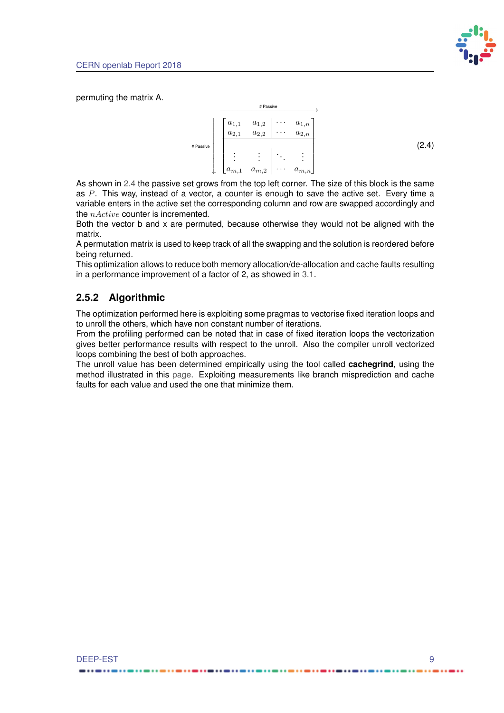

permuting the matrix A.

<span id="page-14-1"></span>

As shown in [2.4](#page-14-1) the passive set grows from the top left corner. The size of this block is the same as  $P$ . This way, instead of a vector, a counter is enough to save the active set. Every time a variable enters in the active set the corresponding column and row are swapped accordingly and the  $nActive$  counter is incremented.

Both the vector b and x are permuted, because otherwise they would not be aligned with the matrix.

A permutation matrix is used to keep track of all the swapping and the solution is reordered before being returned.

This optimization allows to reduce both memory allocation/de-allocation and cache faults resulting in a performance improvement of a factor of 2, as showed in [3.1.](#page-16-0)

### <span id="page-14-0"></span>**2.5.2 Algorithmic**

The optimization performed here is exploiting some pragmas to vectorise fixed iteration loops and to unroll the others, which have non constant number of iterations.

From the profiling performed can be noted that in case of fixed iteration loops the vectorization gives better performance results with respect to the unroll. Also the compiler unroll vectorized loops combining the best of both approaches.

The unroll value has been determined empirically using the tool called **cachegrind**, using the method illustrated in this [page.](http://valgrind.org/docs/manual/cg-manual.html) Exploiting measurements like branch misprediction and cache faults for each value and used the one that minimize them.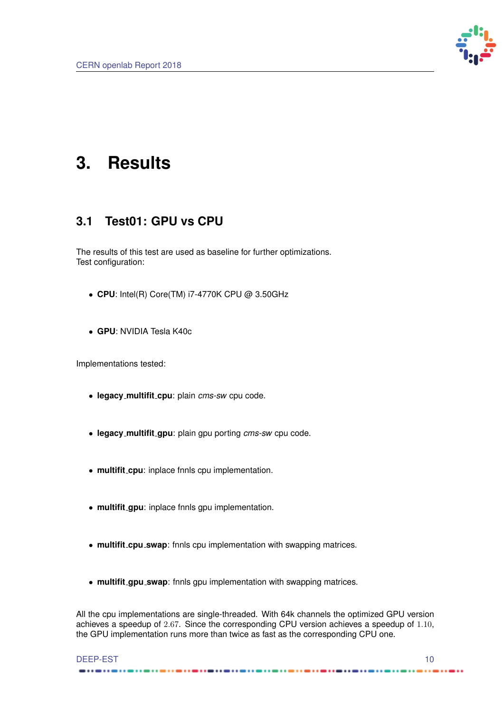

# <span id="page-15-0"></span>**3. Results**

## <span id="page-15-1"></span>**3.1 Test01: GPU vs CPU**

The results of this test are used as baseline for further optimizations. Test configuration:

- **CPU**: Intel(R) Core(TM) i7-4770K CPU @ 3.50GHz
- **GPU**: NVIDIA Tesla K40c

Implementations tested:

- **legacy multifit cpu**: plain *cms-sw* cpu code.
- **legacy multifit gpu**: plain gpu porting *cms-sw* cpu code.
- **multifit cpu**: inplace fnnls cpu implementation.
- **multifit gpu**: inplace fnnls gpu implementation.
- **multifit cpu swap**: fnnls cpu implementation with swapping matrices.
- **multifit gpu swap**: fnnls gpu implementation with swapping matrices.

All the cpu implementations are single-threaded. With 64k channels the optimized GPU version achieves a speedup of 2.67. Since the corresponding CPU version achieves a speedup of 1.10, the GPU implementation runs more than twice as fast as the corresponding CPU one.

#### DEEP-EST 10 ------

.....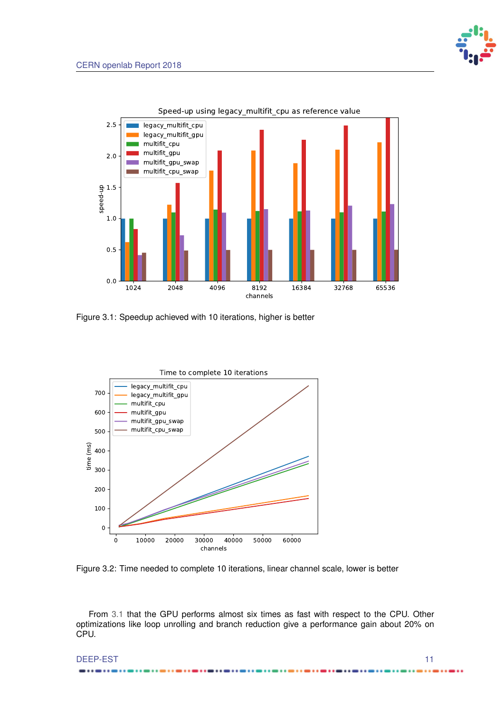

<span id="page-16-0"></span>

Figure 3.1: Speedup achieved with 10 iterations, higher is better

<span id="page-16-1"></span>

Figure 3.2: Time needed to complete 10 iterations, linear channel scale, lower is better

From [3.1](#page-16-0) that the GPU performs almost six times as fast with respect to the CPU. Other optimizations like loop unrolling and branch reduction give a performance gain about 20% on CPU.

DEEP-EST 11

..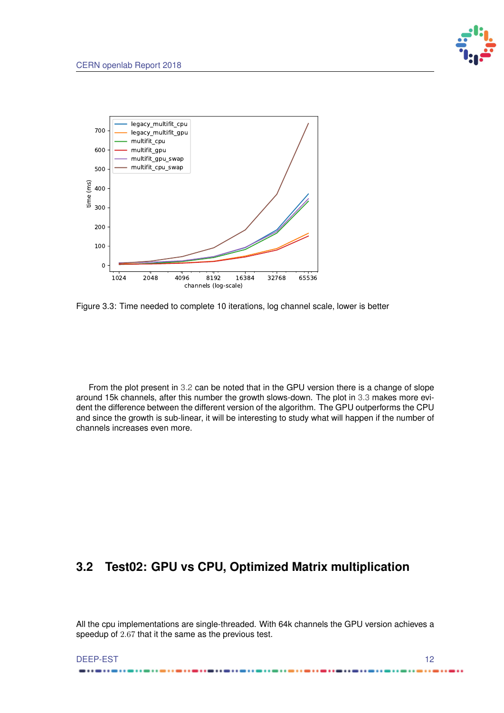

<span id="page-17-1"></span>

Figure 3.3: Time needed to complete 10 iterations, log channel scale, lower is better

<span id="page-17-0"></span>From the plot present in [3.2](#page-16-1) can be noted that in the GPU version there is a change of slope around 15k channels, after this number the growth slows-down. The plot in [3.3](#page-17-1) makes more evident the difference between the different version of the algorithm. The GPU outperforms the CPU and since the growth is sub-linear, it will be interesting to study what will happen if the number of channels increases even more.

## **3.2 Test02: GPU vs CPU, Optimized Matrix multiplication**

All the cpu implementations are single-threaded. With 64k channels the GPU version achieves a speedup of 2.67 that it the same as the previous test.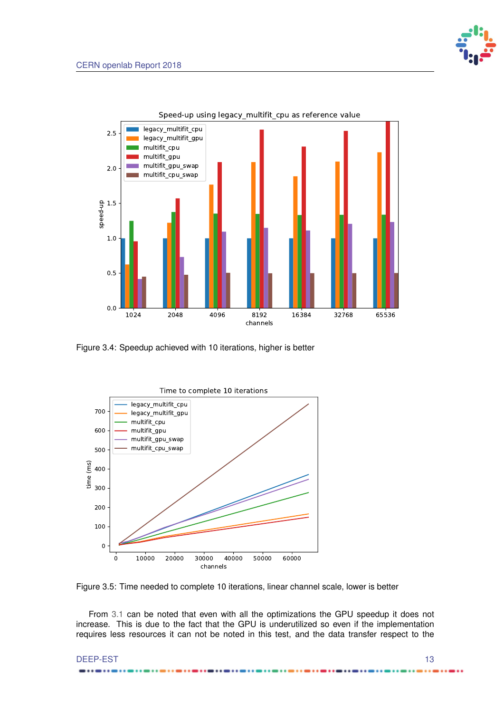

<span id="page-18-0"></span>

Figure 3.4: Speedup achieved with 10 iterations, higher is better

<span id="page-18-1"></span>

Figure 3.5: Time needed to complete 10 iterations, linear channel scale, lower is better

From [3.1](#page-16-0) can be noted that even with all the optimizations the GPU speedup it does not increase. This is due to the fact that the GPU is underutilized so even if the implementation requires less resources it can not be noted in this test, and the data transfer respect to the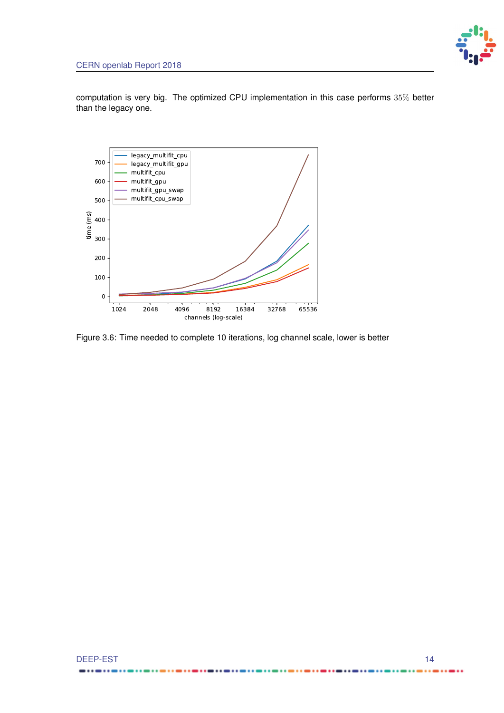computation is very big. The optimized CPU implementation in this case performs 35% better than the legacy one.

<span id="page-19-0"></span>

Figure 3.6: Time needed to complete 10 iterations, log channel scale, lower is better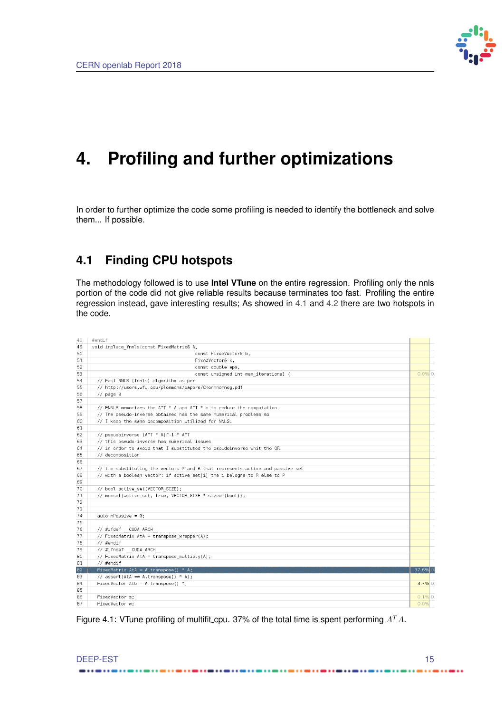

## <span id="page-20-0"></span>**4. Profiling and further optimizations**

In order to further optimize the code some profiling is needed to identify the bottleneck and solve them... If possible.

## <span id="page-20-1"></span>**4.1 Finding CPU hotspots**

The methodology followed is to use **Intel VTune** on the entire regression. Profiling only the nnls portion of the code did not give reliable results because terminates too fast. Profiling the entire regression instead, gave interesting results; As showed in [4.1](#page-20-3) and [4.2](#page-21-0) there are two hotspots in the code.

<span id="page-20-3"></span>

| 48 | #endif                                                                         |            |
|----|--------------------------------------------------------------------------------|------------|
| 49 | void inplace fnnls(const FixedMatrix& A,                                       |            |
| 50 | const FixedVector& b.                                                          |            |
| 51 | FixedVector& x,                                                                |            |
| 52 | const double eps,                                                              |            |
| 53 | const unsigned int max iterations) {                                           | $0.0\%$ 0. |
| 54 | // Fast NNLS (fnnls) algorithm as per                                          |            |
| 55 | // http://users.wfu.edu/plemmons/papers/Chennnonneg.pdf                        |            |
| 56 | $//$ page $8$                                                                  |            |
| 57 |                                                                                |            |
| 58 | // FNNLS memorizes the A^T * A and A^T * b to reduce the computation.          |            |
| 59 | // The pseudo-inverse obtained has the same numerical problems so              |            |
| 60 | // I keep the same decomposition utilized for NNLS.                            |            |
| 61 |                                                                                |            |
| 62 | // pseudoinverse (A^T * A)^-1 * A^T                                            |            |
| 63 | // this pseudo-inverse has numerical issues                                    |            |
| 64 | // in order to avoid that I substituted the pseudoinverse whit the QR          |            |
| 65 | // decomposition                                                               |            |
| 66 |                                                                                |            |
| 67 | // I'm substituting the vectors P and R that represents active and passive set |            |
| 68 | // with a boolean vector: if active set[i] the i belogns to R else to P        |            |
| 69 |                                                                                |            |
| 70 | // bool active set[VECTOR SIZE];                                               |            |
| 71 | // memset(active set, true, VECTOR SIZE * sizeof(bool));                       |            |
| 72 |                                                                                |            |
| 73 |                                                                                |            |
| 74 | auto n $Passive = 0$ ;                                                         |            |
| 75 |                                                                                |            |
| 76 | // #ifdef CUDA ARCH                                                            |            |
| 77 | // FixedMatrix AtA = transpose wrapper(A);                                     |            |
| 78 | // #endif                                                                      |            |
| 79 | // #ifndef CUDA ARCH                                                           |            |
| 80 | // FixedMatrix AtA = transpose multiply(A);                                    |            |
| 81 | // #endif                                                                      |            |
| 82 | FixedMatrix AtA = A.transpose() * A;                                           | 37.6%      |
| 83 | // assert(AtA == A.transpose() * A);                                           |            |
| 84 | FixedVector Atb = A.transpose() *;                                             | $3.7\%$ 0. |
| 85 |                                                                                |            |
| 86 | FixedVector s:                                                                 | $0.1\%$ 0. |
| 87 | FixedVector w:                                                                 |            |

Figure 4.1: VTune profiling of multifit cpu. 37% of the total time is spent performing  $A<sup>T</sup>A$ .

.......

#### <span id="page-20-2"></span>DEEP-EST 15 ------

 $......$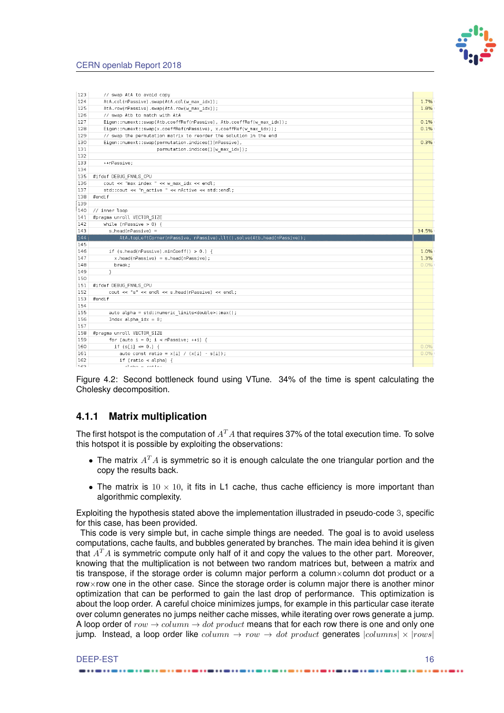

<span id="page-21-0"></span>

| 123        | // swap AtA to avoid copy                                              |       |
|------------|------------------------------------------------------------------------|-------|
| 124        | AtA.col(nPassive).swap(AtA.col(w max idx));                            | 1.7%  |
| 125        | AtA.row(nPassive).swap(AtA.row(w max idx));                            | 1.8%  |
| 126        | // swap Atb to match with AtA                                          |       |
| 127        | Eigen::numext::swap(Atb.coeffRef(nPassive), Atb.coeffRef(w max idx));  | 0.1%  |
| 128        | Eigen::numext::swap(x.coeffRef(nPassive), x.coeffRef(w max idx));      | 0.1%  |
| 129        | // swap the permutation matrix to reorder the solution in the end      |       |
| 130        | Eigen::numext::swap(permutation.indices()[nPassive],                   | 0.3%  |
| 131        | permutation.indices()[w_max_idx]);                                     |       |
| 132        |                                                                        |       |
| 133        | ++nPassive;                                                            |       |
| 134        |                                                                        |       |
| 135        | #ifdef DEBUG FNNLS CPU                                                 |       |
| 136        | cout << "max index " << w max idx << endl;                             |       |
| 137        | std::cout << "n active " << nActive << std::endl;                      |       |
| 138        | #endif                                                                 |       |
| 139        |                                                                        |       |
| 140        | // inner loop                                                          |       |
| 141        | #pragma unroll VECTOR SIZE                                             |       |
| 142        | while (nPassive $> 0$ ) {                                              |       |
|            |                                                                        |       |
|            |                                                                        |       |
| 143        | s.head(nPassive) =                                                     | 34.5% |
| 144        | AtA.topLeftCorner(nPassive, nPassive).llt().solve(Atb.head(nPassive)); |       |
| 145        |                                                                        |       |
| 146        | if (s.head(nPassive).minCoeff() $> 0.$ ) {                             | 1.0%  |
| 147        | $x \text{ head}(nPassive) = s \text{ head}(nPassive)$ ;                | 1.3%  |
| 148        | break;                                                                 | 0.0%  |
| 149        | ł                                                                      |       |
| 150        |                                                                        |       |
| 151        | #ifdef DEBUG FNNLS CPU                                                 |       |
| 152        | cout << "s" << endl << s head(nPassive) << endl;                       |       |
| 153        | #endif                                                                 |       |
| 154        |                                                                        |       |
| 155        | auto alpha = std::numeric limits <double>::max();</double>             |       |
| 156        | Index alpha $idx = 0$ ;                                                |       |
| 157        |                                                                        |       |
| 158        | #pragma unroll VECTOR SIZE                                             |       |
| 159        | for (auto $i = 0$ ; $i < n$ Passive; ++i) {                            |       |
| 160        | if $(s[i] \le 0.)$ {                                                   | 0.0%  |
| 161<br>162 | auto const ratio = $x[i] / (x[i] - s[i])$ ;<br>if (ratio < alpha) {    | 0.0%  |

Figure 4.2: Second bottleneck found using VTune. 34% of the time is spent calculating the Cholesky decomposition.

### **4.1.1 Matrix multiplication**

The first hotspot is the computation of  $A<sup>T</sup>A$  that requires 37% of the total execution time. To solve this hotspot it is possible by exploiting the observations:

- The matrix  $A<sup>T</sup>A$  is symmetric so it is enough calculate the one triangular portion and the copy the results back.
- The matrix is  $10 \times 10$ , it fits in L1 cache, thus cache efficiency is more important than algorithmic complexity.

Exploiting the hypothesis stated above the implementation illustraded in pseudo-code [3,](#page-23-0) specific for this case, has been provided.

This code is very simple but, in cache simple things are needed. The goal is to avoid useless computations, cache faults, and bubbles generated by branches. The main idea behind it is given that  $A<sup>T</sup>A$  is symmetric compute only half of it and copy the values to the other part. Moreover, knowing that the multiplication is not between two random matrices but, between a matrix and tis transpose, if the storage order is column major perform a column $\times$ column dot product or a row×row one in the other case. Since the storage order is column major there is another minor optimization that can be performed to gain the last drop of performance. This optimization is about the loop order. A careful choice minimizes jumps, for example in this particular case iterate over column generates no jumps neither cache misses, while iterating over rows generate a jump. A loop order of  $row \rightarrow column \rightarrow dot$  product means that for each row there is one and only one jump. Instead, a loop order like  $column \rightarrow row \rightarrow dot product$  generates  $|columns| \times |rows|$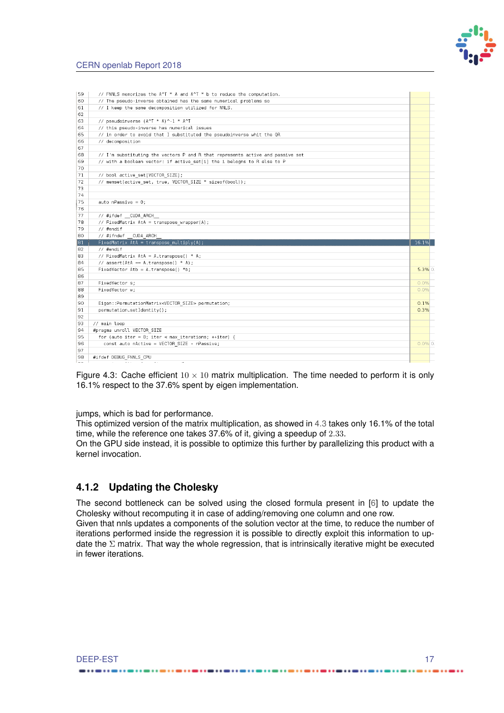

#### <span id="page-22-2"></span>CERN openlab Report 2018

<span id="page-22-1"></span>

| 59  | // FNNLS memorizes the A^T * A and A^T * b to reduce the computation.          |            |
|-----|--------------------------------------------------------------------------------|------------|
| 60  | // The pseudo-inverse obtained has the same numerical problems so              |            |
| 61  | // I keep the same decomposition utilized for NNLS.                            |            |
| 62  |                                                                                |            |
| 63  | // pseudoinverse (A^T * A)^-1 * A^T                                            |            |
| 64  | // this pseudo-inverse has numerical issues                                    |            |
| 65  | // in order to avoid that I substituted the pseudoinverse whit the QR          |            |
| 66  | // decomposition                                                               |            |
| 67  |                                                                                |            |
| 68  | // I'm substituting the vectors P and R that represents active and passive set |            |
| 69  | // with a boolean vector: if active set[i] the i belogns to R else to P        |            |
| 70  |                                                                                |            |
| 71  | // bool active set[VECTOR SIZE];                                               |            |
| 72  | // memset(active set, true, VECTOR SIZE * sizeof(bool));                       |            |
| 73  |                                                                                |            |
| 74  |                                                                                |            |
| 175 | auto n $Passive = 0$ ;                                                         |            |
| 176 |                                                                                |            |
| 77  | // #ifdef CUDA ARCH                                                            |            |
| 78  | // FixedMatrix AtA = transpose wrapper(A);                                     |            |
| 79  | // #endif                                                                      |            |
| 80  | // #ifndef CUDA ARCH                                                           |            |
| 81  | $FixedMatrix AtA = transpose multiply(A);$                                     | 16.1%      |
| 82  | $//$ #endif                                                                    |            |
| 83  | // FixedMatrix AtA = A.transpose() * A;                                        |            |
| 84  | // assert(AtA == A.transpose() * A);                                           |            |
| 85  | $FixedVector Atb = A.transpose() *b;$                                          | $5.3\%$ 0. |
| 86  |                                                                                |            |
| 87  | FixedVector s;                                                                 | 0.0%       |
| 88  | FixedVector w:                                                                 | 0.0%       |
| 89  |                                                                                |            |
| 90  | Eigen::PermutationMatrix <vector size=""> permutation;</vector>                | 0.1%       |
| 91  | permutation.setIdentity();                                                     | 0.3%       |
| 92  |                                                                                |            |
| 93  | // main loop                                                                   |            |
| 94  | #pragma unroll VECTOR SIZE                                                     |            |
| 95  | for (auto iter = $0$ ; iter < max iterations; ++iter) {                        |            |
| 96  | const auto nActive = VECTOR SIZE - nPassive;                                   | $0.0\%$ 0. |
| 97  |                                                                                |            |
| 98  | #ifdef DEBUG FNNLS CPU                                                         |            |
|     |                                                                                |            |

Figure 4.3: Cache efficient  $10 \times 10$  matrix multiplication. The time needed to perform it is only 16.1% respect to the 37.6% spent by eigen implementation.

jumps, which is bad for performance.

This optimized version of the matrix multiplication, as showed in [4.3](#page-22-1) takes only 16.1% of the total time, while the reference one takes 37.6% of it, giving a speedup of 2.33.

On the GPU side instead, it is possible to optimize this further by parallelizing this product with a kernel invocation.

### <span id="page-22-0"></span>**4.1.2 Updating the Cholesky**

The second bottleneck can be solved using the closed formula present in [\[6\]](#page-25-7) to update the Cholesky without recomputing it in case of adding/removing one column and one row. Given that nnls updates a components of the solution vector at the time, to reduce the number of iterations performed inside the regression it is possible to directly exploit this information to up-

date the  $\Sigma$  matrix. That way the whole regression, that is intrinsically iterative might be executed in fewer iterations.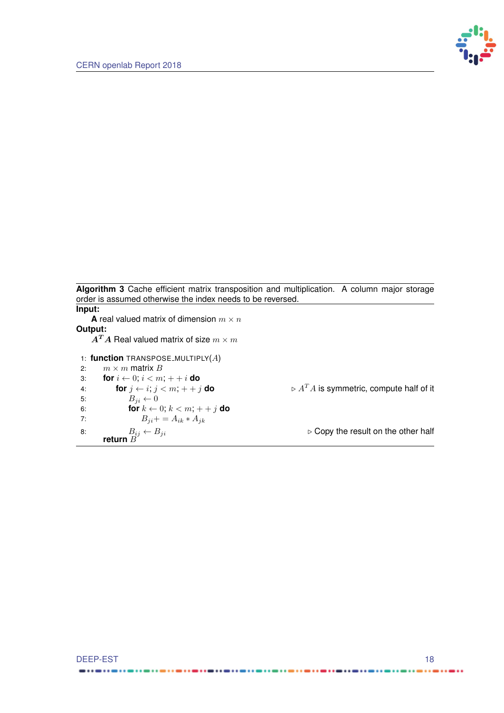

<span id="page-23-0"></span>**Algorithm 3** Cache efficient matrix transposition and multiplication. A column major storage order is assumed otherwise the index needs to be reversed. **Input:**

**A** real valued matrix of dimension  $m \times n$ **Output:**  $\mathbf{A}^T \mathbf{A}$  Real valued matrix of size  $m \times m$ 1: **function** TRANSPOSE MULTIPLY(A) 2:  $m \times m$  matrix B 3: **for**  $i \leftarrow 0; i < m; + + i$  **do**<br>4: **for**  $j \leftarrow i; j < m; + + j$  **do** 4: **for**  $j \leftarrow i$ ;  $j < m$ ;  $++j$  **do**  $\qquad \qquad \triangleright A^T A$  is symmetric, compute half of it 5:  $B_{ii} \leftarrow 0$ 6: **for**  $k \leftarrow 0$ ;  $k < m$ ;  $+ + j$  **do** 7:  $B_{ji} + = A_{ik} * A_{jk}$ 8:  $B_{ij} \leftarrow B_{ji}$  b Copy the result on the other half  $B_{ij} \leftarrow B_{ji}$  return  $B$ 

.....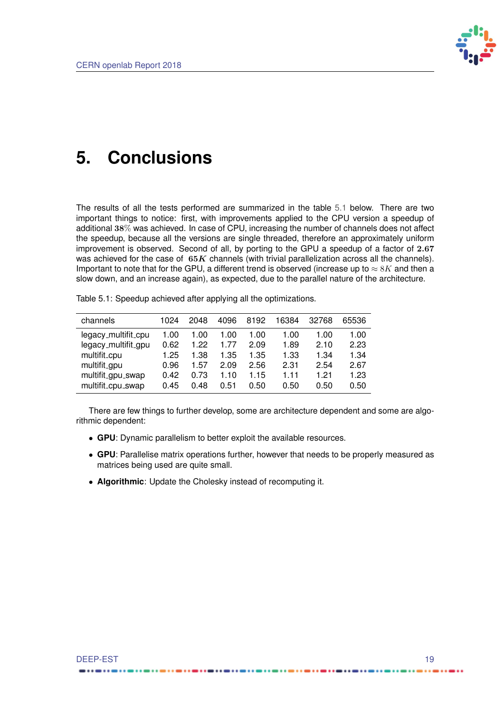

## <span id="page-24-0"></span>**5. Conclusions**

The results of all the tests performed are summarized in the table [5.1](#page-24-1) below. There are two important things to notice: first, with improvements applied to the CPU version a speedup of additional 38% was achieved. In case of CPU, increasing the number of channels does not affect the speedup, because all the versions are single threaded, therefore an approximately uniform improvement is observed. Second of all, by porting to the GPU a speedup of a factor of 2.67 was achieved for the case of  $65K$  channels (with trivial parallelization across all the channels). Important to note that for the GPU, a different trend is observed (increase up to  $\approx 8K$  and then a slow down, and an increase again), as expected, due to the parallel nature of the architecture.

<span id="page-24-1"></span>Table 5.1: Speedup achieved after applying all the optimizations.

| channels                                    | 1024 | 2048 | 4096 | 8192 | 16384 | 32768 | 65536 |
|---------------------------------------------|------|------|------|------|-------|-------|-------|
| legacy_multifit_cpu                         | 1.00 | 1.00 | 1.00 | 1.00 | 1.00  | 1.00  | 1.00  |
| legacy_multifit_gpu                         | 0.62 | 1.22 | 1.77 | 2.09 | 1.89  | 2.10  | 2.23  |
| multifit_cpu                                | 1.25 | 1.38 | 1.35 | 1.35 | 1.33  | 1.34  | 1.34  |
| multifit <sub>-gpu</sub>                    | 0.96 | 1.57 | 2.09 | 2.56 | 2.31  | 2.54  | 2.67  |
| multifit <sub>-</sub> gpu <sub>-</sub> swap | 0.42 | 0.73 | 1.10 | 1.15 | 1 1 1 | 1 21  | 1.23  |
| multifit_cpu_swap                           | 0.45 | 0.48 | 0.51 | 0.50 | 0.50  | 0.50  | 0.50  |

There are few things to further develop, some are architecture dependent and some are algorithmic dependent:

- **GPU**: Dynamic parallelism to better exploit the available resources.
- **GPU**: Parallelise matrix operations further, however that needs to be properly measured as matrices being used are quite small.
- **Algorithmic**: Update the Cholesky instead of recomputing it.